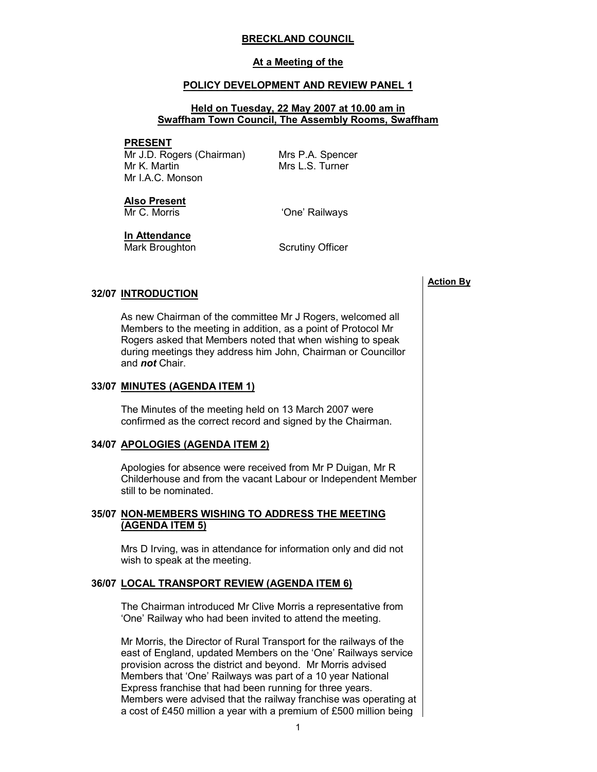#### BRECKLAND COUNCIL

#### At a Meeting of the

#### POLICY DEVELOPMENT AND REVIEW PANEL 1

#### Held on Tuesday, 22 May 2007 at 10.00 am in Swaffham Town Council, The Assembly Rooms, Swaffham

#### PRESENT

Mr J.D. Rogers (Chairman) Mr K. Martin Mr I.A.C. Monson

Mrs P.A. Spencer Mrs L.S. Turner

# Also Present

Mr C. Morris **C. Morris** 'One' Railways

In Attendance

Mark Broughton Scrutiny Officer

#### 32/07 INTRODUCTION

 As new Chairman of the committee Mr J Rogers, welcomed all Members to the meeting in addition, as a point of Protocol Mr Rogers asked that Members noted that when wishing to speak during meetings they address him John, Chairman or Councillor and not Chair.

### 33/07 MINUTES (AGENDA ITEM 1)

 The Minutes of the meeting held on 13 March 2007 were confirmed as the correct record and signed by the Chairman.

### 34/07 APOLOGIES (AGENDA ITEM 2)

 Apologies for absence were received from Mr P Duigan, Mr R Childerhouse and from the vacant Labour or Independent Member still to be nominated.

# 35/07 NON-MEMBERS WISHING TO ADDRESS THE MEETING (AGENDA ITEM 5)

 Mrs D Irving, was in attendance for information only and did not wish to speak at the meeting.

#### 36/07 LOCAL TRANSPORT REVIEW (AGENDA ITEM 6)

 The Chairman introduced Mr Clive Morris a representative from 'One' Railway who had been invited to attend the meeting.

Mr Morris, the Director of Rural Transport for the railways of the east of England, updated Members on the 'One' Railways service provision across the district and beyond. Mr Morris advised Members that 'One' Railways was part of a 10 year National Express franchise that had been running for three years. Members were advised that the railway franchise was operating at a cost of £450 million a year with a premium of £500 million being

1

Action By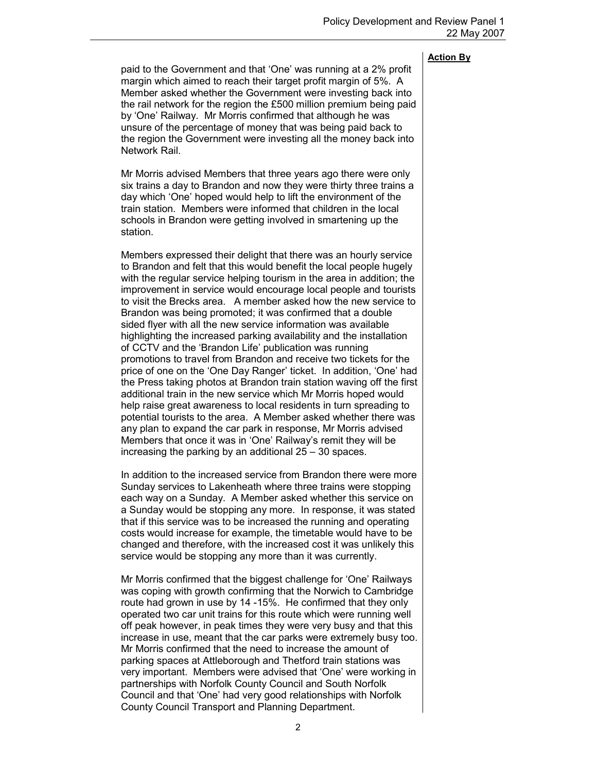### Action By

paid to the Government and that 'One' was running at a 2% profit margin which aimed to reach their target profit margin of 5%. A Member asked whether the Government were investing back into the rail network for the region the £500 million premium being paid by 'One' Railway. Mr Morris confirmed that although he was unsure of the percentage of money that was being paid back to the region the Government were investing all the money back into Network Rail.

Mr Morris advised Members that three years ago there were only six trains a day to Brandon and now they were thirty three trains a day which 'One' hoped would help to lift the environment of the train station. Members were informed that children in the local schools in Brandon were getting involved in smartening up the station.

Members expressed their delight that there was an hourly service to Brandon and felt that this would benefit the local people hugely with the regular service helping tourism in the area in addition; the improvement in service would encourage local people and tourists to visit the Brecks area. A member asked how the new service to Brandon was being promoted; it was confirmed that a double sided flyer with all the new service information was available highlighting the increased parking availability and the installation of CCTV and the 'Brandon Life' publication was running promotions to travel from Brandon and receive two tickets for the price of one on the 'One Day Ranger' ticket. In addition, 'One' had the Press taking photos at Brandon train station waving off the first additional train in the new service which Mr Morris hoped would help raise great awareness to local residents in turn spreading to potential tourists to the area. A Member asked whether there was any plan to expand the car park in response, Mr Morris advised Members that once it was in 'One' Railway's remit they will be increasing the parking by an additional 25 – 30 spaces.

In addition to the increased service from Brandon there were more Sunday services to Lakenheath where three trains were stopping each way on a Sunday. A Member asked whether this service on a Sunday would be stopping any more. In response, it was stated that if this service was to be increased the running and operating costs would increase for example, the timetable would have to be changed and therefore, with the increased cost it was unlikely this service would be stopping any more than it was currently.

Mr Morris confirmed that the biggest challenge for 'One' Railways was coping with growth confirming that the Norwich to Cambridge route had grown in use by 14 -15%. He confirmed that they only operated two car unit trains for this route which were running well off peak however, in peak times they were very busy and that this increase in use, meant that the car parks were extremely busy too. Mr Morris confirmed that the need to increase the amount of parking spaces at Attleborough and Thetford train stations was very important. Members were advised that 'One' were working in partnerships with Norfolk County Council and South Norfolk Council and that 'One' had very good relationships with Norfolk County Council Transport and Planning Department.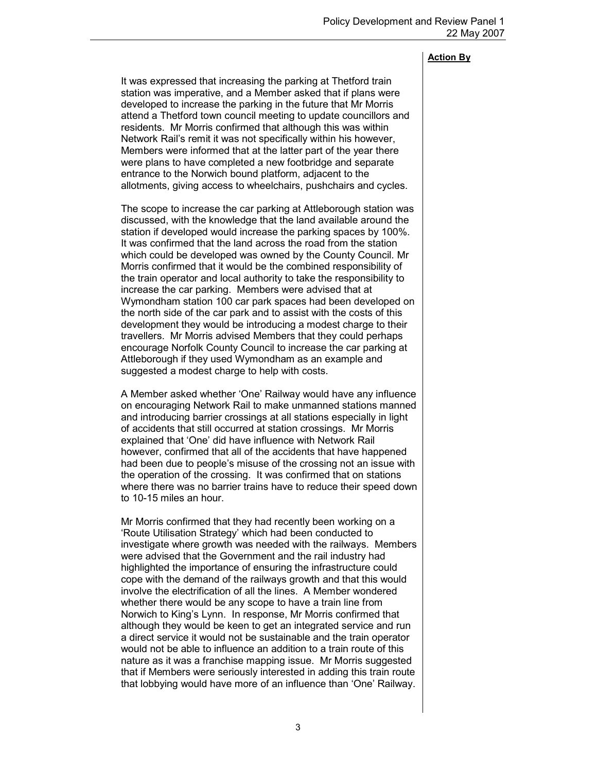# Action By

It was expressed that increasing the parking at Thetford train station was imperative, and a Member asked that if plans were developed to increase the parking in the future that Mr Morris attend a Thetford town council meeting to update councillors and residents. Mr Morris confirmed that although this was within Network Rail's remit it was not specifically within his however, Members were informed that at the latter part of the year there were plans to have completed a new footbridge and separate entrance to the Norwich bound platform, adjacent to the allotments, giving access to wheelchairs, pushchairs and cycles.

The scope to increase the car parking at Attleborough station was discussed, with the knowledge that the land available around the station if developed would increase the parking spaces by 100%. It was confirmed that the land across the road from the station which could be developed was owned by the County Council. Mr Morris confirmed that it would be the combined responsibility of the train operator and local authority to take the responsibility to increase the car parking. Members were advised that at Wymondham station 100 car park spaces had been developed on the north side of the car park and to assist with the costs of this development they would be introducing a modest charge to their travellers. Mr Morris advised Members that they could perhaps encourage Norfolk County Council to increase the car parking at Attleborough if they used Wymondham as an example and suggested a modest charge to help with costs.

A Member asked whether 'One' Railway would have any influence on encouraging Network Rail to make unmanned stations manned and introducing barrier crossings at all stations especially in light of accidents that still occurred at station crossings. Mr Morris explained that 'One' did have influence with Network Rail however, confirmed that all of the accidents that have happened had been due to people's misuse of the crossing not an issue with the operation of the crossing. It was confirmed that on stations where there was no barrier trains have to reduce their speed down to 10-15 miles an hour.

Mr Morris confirmed that they had recently been working on a 'Route Utilisation Strategy' which had been conducted to investigate where growth was needed with the railways. Members were advised that the Government and the rail industry had highlighted the importance of ensuring the infrastructure could cope with the demand of the railways growth and that this would involve the electrification of all the lines. A Member wondered whether there would be any scope to have a train line from Norwich to King's Lynn. In response, Mr Morris confirmed that although they would be keen to get an integrated service and run a direct service it would not be sustainable and the train operator would not be able to influence an addition to a train route of this nature as it was a franchise mapping issue. Mr Morris suggested that if Members were seriously interested in adding this train route that lobbying would have more of an influence than 'One' Railway.